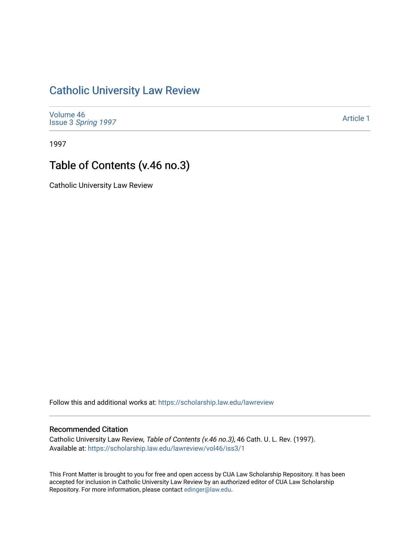### [Catholic University Law Review](https://scholarship.law.edu/lawreview)

[Volume 46](https://scholarship.law.edu/lawreview/vol46) Issue 3 [Spring 1997](https://scholarship.law.edu/lawreview/vol46/iss3) 

[Article 1](https://scholarship.law.edu/lawreview/vol46/iss3/1) 

1997

# Table of Contents (v.46 no.3)

Catholic University Law Review

Follow this and additional works at: [https://scholarship.law.edu/lawreview](https://scholarship.law.edu/lawreview?utm_source=scholarship.law.edu%2Flawreview%2Fvol46%2Fiss3%2F1&utm_medium=PDF&utm_campaign=PDFCoverPages)

#### Recommended Citation

Catholic University Law Review, Table of Contents (v.46 no.3), 46 Cath. U. L. Rev. (1997). Available at: [https://scholarship.law.edu/lawreview/vol46/iss3/1](https://scholarship.law.edu/lawreview/vol46/iss3/1?utm_source=scholarship.law.edu%2Flawreview%2Fvol46%2Fiss3%2F1&utm_medium=PDF&utm_campaign=PDFCoverPages)

This Front Matter is brought to you for free and open access by CUA Law Scholarship Repository. It has been accepted for inclusion in Catholic University Law Review by an authorized editor of CUA Law Scholarship Repository. For more information, please contact [edinger@law.edu.](mailto:edinger@law.edu)